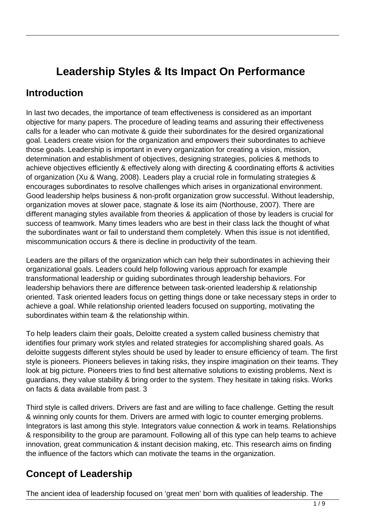# **Leadership Styles & Its Impact On Performance**

## **Introduction**

In last two decades, the importance of team effectiveness is considered as an important objective for many papers. The procedure of leading teams and assuring their effectiveness calls for a leader who can motivate & guide their subordinates for the desired organizational goal. Leaders create vision for the organization and empowers their subordinates to achieve those goals. Leadership is important in every organization for creating a vision, mission, determination and establishment of objectives, designing strategies, policies & methods to achieve objectives efficiently & effectively along with directing & coordinating efforts & activities of organization (Xu & Wang, 2008). Leaders play a crucial role in formulating strategies & encourages subordinates to resolve challenges which arises in organizational environment. Good leadership helps business & non-profit organization grow successful. Without leadership, organization moves at slower pace, stagnate & lose its aim (Northouse, 2007). There are different managing styles available from theories & application of those by leaders is crucial for success of teamwork. Many times leaders who are best in their class lack the thought of what the subordinates want or fail to understand them completely. When this issue is not identified, miscommunication occurs & there is decline in productivity of the team.

Leaders are the pillars of the organization which can help their subordinates in achieving their organizational goals. Leaders could help following various approach for example transformational leadership or guiding subordinates through leadership behaviors. For leadership behaviors there are difference between task-oriented leadership & relationship oriented. Task oriented leaders focus on getting things done or take necessary steps in order to achieve a goal. While relationship oriented leaders focused on supporting, motivating the subordinates within team & the relationship within.

To help leaders claim their goals, Deloitte created a system called business chemistry that identifies four primary work styles and related strategies for accomplishing shared goals. As deloitte suggests different styles should be used by leader to ensure efficiency of team. The first style is pioneers. Pioneers believes in taking risks, they inspire imagination on their teams. They look at big picture. Pioneers tries to find best alternative solutions to existing problems. Next is guardians, they value stability & bring order to the system. They hesitate in taking risks. Works on facts & data available from past. 3

Third style is called drivers. Drivers are fast and are willing to face challenge. Getting the result & winning only counts for them. Drivers are armed with logic to counter emerging problems. Integrators is last among this style. Integrators value connection & work in teams. Relationships & responsibility to the group are paramount. Following all of this type can help teams to achieve innovation, great communication & instant decision making, etc. This research aims on finding the influence of the factors which can motivate the teams in the organization.

# **Concept of Leadership**

The ancient idea of leadership focused on 'great men' born with qualities of leadership. The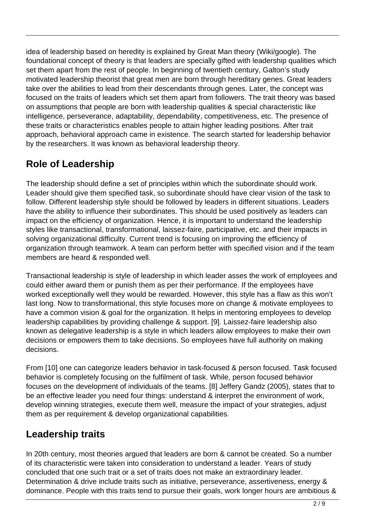idea of leadership based on heredity is explained by Great Man theory (Wiki/google). The foundational concept of theory is that leaders are specially gifted with leadership qualities which set them apart from the rest of people. In beginning of twentieth century, Galton's study motivated leadership theorist that great men are born through hereditary genes. Great leaders take over the abilities to lead from their descendants through genes. Later, the concept was focused on the traits of leaders which set them apart from followers. The trait theory was based on assumptions that people are born with leadership qualities & special characteristic like intelligence, perseverance, adaptability, dependability, competitiveness, etc. The presence of these traits or characteristics enables people to attain higher leading positions. After trait approach, behavioral approach came in existence. The search started for leadership behavior by the researchers. It was known as behavioral leadership theory.

# **Role of Leadership**

The leadership should define a set of principles within which the subordinate should work. Leader should give them specified task, so subordinate should have clear vision of the task to follow. Different leadership style should be followed by leaders in different situations. Leaders have the ability to influence their subordinates. This should be used positively as leaders can impact on the efficiency of organization. Hence, it is important to understand the leadership styles like transactional, transformational, laissez-faire, participative, etc. and their impacts in solving organizational difficulty. Current trend is focusing on improving the efficiency of organization through teamwork. A team can perform better with specified vision and if the team members are heard & responded well.

Transactional leadership is style of leadership in which leader asses the work of employees and could either award them or punish them as per their performance. If the employees have worked exceptionally well they would be rewarded. However, this style has a flaw as this won't last long. Now to transformational, this style focuses more on change & motivate employees to have a common vision & goal for the organization. It helps in mentoring employees to develop leadership capabilities by providing challenge & support. [9]. Laissez-faire leadership also known as delegative leadership is a style in which leaders allow employees to make their own decisions or empowers them to take decisions. So employees have full authority on making decisions.

From [10] one can categorize leaders behavior in task-focused & person focused. Task focused behavior is completely focusing on the fulfilment of task. While, person focused behavior focuses on the development of individuals of the teams. [8] Jeffery Gandz (2005), states that to be an effective leader you need four things: understand & interpret the environment of work, develop winning strategies, execute them well, measure the impact of your strategies, adjust them as per requirement & develop organizational capabilities.

# **Leadership traits**

In 20th century, most theories argued that leaders are born & cannot be created. So a number of its characteristic were taken into consideration to understand a leader. Years of study concluded that one such trait or a set of traits does not make an extraordinary leader. Determination & drive include traits such as initiative, perseverance, assertiveness, energy & dominance. People with this traits tend to pursue their goals, work longer hours are ambitious &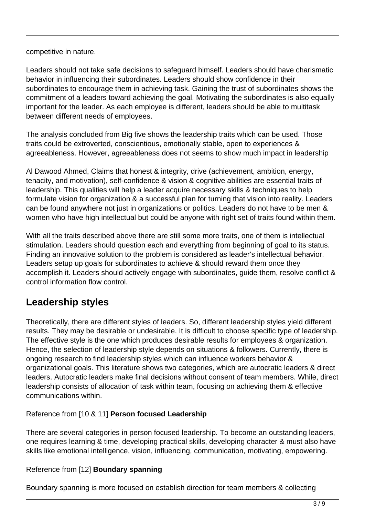competitive in nature.

Leaders should not take safe decisions to safeguard himself. Leaders should have charismatic behavior in influencing their subordinates. Leaders should show confidence in their subordinates to encourage them in achieving task. Gaining the trust of subordinates shows the commitment of a leaders toward achieving the goal. Motivating the subordinates is also equally important for the leader. As each employee is different, leaders should be able to multitask between different needs of employees.

The analysis concluded from Big five shows the leadership traits which can be used. Those traits could be extroverted, conscientious, emotionally stable, open to experiences & agreeableness. However, agreeableness does not seems to show much impact in leadership

Al Dawood Ahmed, Claims that honest & integrity, drive (achievement, ambition, energy, tenacity, and motivation), self-confidence & vision & cognitive abilities are essential traits of leadership. This qualities will help a leader acquire necessary skills & techniques to help formulate vision for organization & a successful plan for turning that vision into reality. Leaders can be found anywhere not just in organizations or politics. Leaders do not have to be men & women who have high intellectual but could be anyone with right set of traits found within them.

With all the traits described above there are still some more traits, one of them is intellectual stimulation. Leaders should question each and everything from beginning of goal to its status. Finding an innovative solution to the problem is considered as leader's intellectual behavior. Leaders setup up goals for subordinates to achieve & should reward them once they accomplish it. Leaders should actively engage with subordinates, guide them, resolve conflict & control information flow control.

## **Leadership styles**

Theoretically, there are different styles of leaders. So, different leadership styles yield different results. They may be desirable or undesirable. It is difficult to choose specific type of leadership. The effective style is the one which produces desirable results for employees & organization. Hence, the selection of leadership style depends on situations & followers. Currently, there is ongoing research to find leadership styles which can influence workers behavior & organizational goals. This literature shows two categories, which are autocratic leaders & direct leaders. Autocratic leaders make final decisions without consent of team members. While, direct leadership consists of allocation of task within team, focusing on achieving them & effective communications within.

Reference from [10 & 11] **Person focused Leadership**

There are several categories in person focused leadership. To become an outstanding leaders, one requires learning & time, developing practical skills, developing character & must also have skills like emotional intelligence, vision, influencing, communication, motivating, empowering.

#### Reference from [12] **Boundary spanning**

Boundary spanning is more focused on establish direction for team members & collecting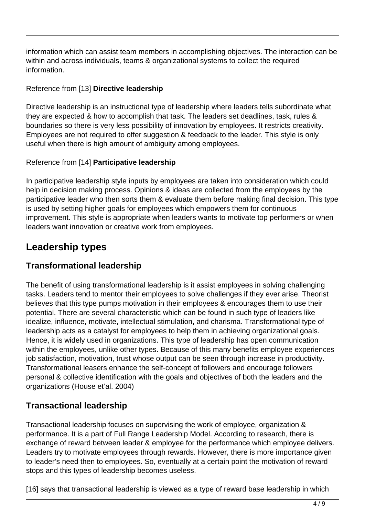information which can assist team members in accomplishing objectives. The interaction can be within and across individuals, teams & organizational systems to collect the required information.

#### Reference from [13] **Directive leadership**

Directive leadership is an instructional type of leadership where leaders tells subordinate what they are expected & how to accomplish that task. The leaders set deadlines, task, rules & boundaries so there is very less possibility of innovation by employees. It restricts creativity. Employees are not required to offer suggestion & feedback to the leader. This style is only useful when there is high amount of ambiguity among employees.

#### Reference from [14] **Participative leadership**

In participative leadership style inputs by employees are taken into consideration which could help in decision making process. Opinions & ideas are collected from the employees by the participative leader who then sorts them & evaluate them before making final decision. This type is used by setting higher goals for employees which empowers them for continuous improvement. This style is appropriate when leaders wants to motivate top performers or when leaders want innovation or creative work from employees.

## **Leadership types**

### **Transformational leadership**

The benefit of using transformational leadership is it assist employees in solving challenging tasks. Leaders tend to mentor their employees to solve challenges if they ever arise. Theorist believes that this type pumps motivation in their employees & encourages them to use their potential. There are several characteristic which can be found in such type of leaders like idealize, influence, motivate, intellectual stimulation, and charisma. Transformational type of leadership acts as a catalyst for employees to help them in achieving organizational goals. Hence, it is widely used in organizations. This type of leadership has open communication within the employees, unlike other types. Because of this many benefits employee experiences job satisfaction, motivation, trust whose output can be seen through increase in productivity. Transformational leasers enhance the self-concept of followers and encourage followers personal & collective identification with the goals and objectives of both the leaders and the organizations (House et'al. 2004)

### **Transactional leadership**

Transactional leadership focuses on supervising the work of employee, organization & performance. It is a part of Full Range Leadership Model. According to research, there is exchange of reward between leader & employee for the performance which employee delivers. Leaders try to motivate employees through rewards. However, there is more importance given to leader's need then to employees. So, eventually at a certain point the motivation of reward stops and this types of leadership becomes useless.

[16] says that transactional leadership is viewed as a type of reward base leadership in which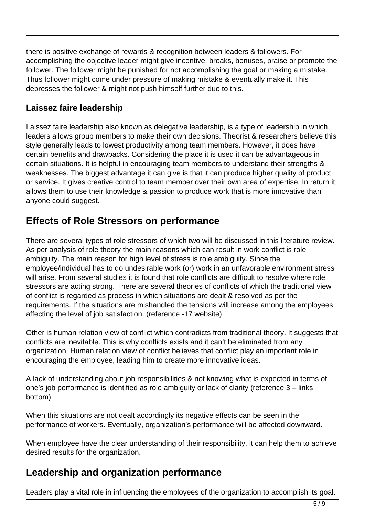there is positive exchange of rewards & recognition between leaders & followers. For accomplishing the objective leader might give incentive, breaks, bonuses, praise or promote the follower. The follower might be punished for not accomplishing the goal or making a mistake. Thus follower might come under pressure of making mistake & eventually make it. This depresses the follower & might not push himself further due to this.

### **Laissez faire leadership**

Laissez faire leadership also known as delegative leadership, is a type of leadership in which leaders allows group members to make their own decisions. Theorist & researchers believe this style generally leads to lowest productivity among team members. However, it does have certain benefits and drawbacks. Considering the place it is used it can be advantageous in certain situations. It is helpful in encouraging team members to understand their strengths & weaknesses. The biggest advantage it can give is that it can produce higher quality of product or service. It gives creative control to team member over their own area of expertise. In return it allows them to use their knowledge & passion to produce work that is more innovative than anyone could suggest.

## **Effects of Role Stressors on performance**

There are several types of role stressors of which two will be discussed in this literature review. As per analysis of role theory the main reasons which can result in work conflict is role ambiguity. The main reason for high level of stress is role ambiguity. Since the employee/individual has to do undesirable work (or) work in an unfavorable environment stress will arise. From several studies it is found that role conflicts are difficult to resolve where role stressors are acting strong. There are several theories of conflicts of which the traditional view of conflict is regarded as process in which situations are dealt & resolved as per the requirements. If the situations are mishandled the tensions will increase among the employees affecting the level of job satisfaction. (reference -17 website)

Other is human relation view of conflict which contradicts from traditional theory. It suggests that conflicts are inevitable. This is why conflicts exists and it can't be eliminated from any organization. Human relation view of conflict believes that conflict play an important role in encouraging the employee, leading him to create more innovative ideas.

A lack of understanding about job responsibilities & not knowing what is expected in terms of one's job performance is identified as role ambiguity or lack of clarity (reference 3 – links bottom)

When this situations are not dealt accordingly its negative effects can be seen in the performance of workers. Eventually, organization's performance will be affected downward.

When employee have the clear understanding of their responsibility, it can help them to achieve desired results for the organization.

## **Leadership and organization performance**

Leaders play a vital role in influencing the employees of the organization to accomplish its goal.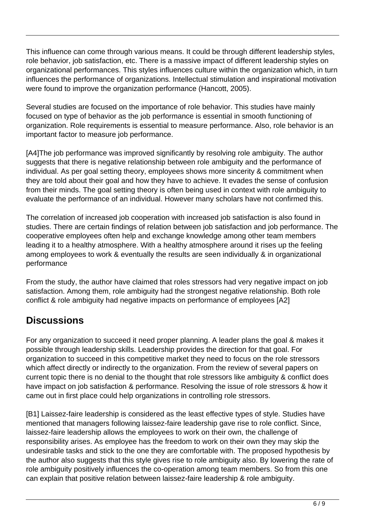This influence can come through various means. It could be through different leadership styles, role behavior, job satisfaction, etc. There is a massive impact of different leadership styles on organizational performances. This styles influences culture within the organization which, in turn influences the performance of organizations. Intellectual stimulation and inspirational motivation were found to improve the organization performance (Hancott, 2005).

Several studies are focused on the importance of role behavior. This studies have mainly focused on type of behavior as the job performance is essential in smooth functioning of organization. Role requirements is essential to measure performance. Also, role behavior is an important factor to measure job performance.

[A4]The job performance was improved significantly by resolving role ambiguity. The author suggests that there is negative relationship between role ambiguity and the performance of individual. As per goal setting theory, employees shows more sincerity & commitment when they are told about their goal and how they have to achieve. It evades the sense of confusion from their minds. The goal setting theory is often being used in context with role ambiguity to evaluate the performance of an individual. However many scholars have not confirmed this.

The correlation of increased job cooperation with increased job satisfaction is also found in studies. There are certain findings of relation between job satisfaction and job performance. The cooperative employees often help and exchange knowledge among other team members leading it to a healthy atmosphere. With a healthy atmosphere around it rises up the feeling among employees to work & eventually the results are seen individually & in organizational performance

From the study, the author have claimed that roles stressors had very negative impact on job satisfaction. Among them, role ambiguity had the strongest negative relationship. Both role conflict & role ambiguity had negative impacts on performance of employees [A2]

# **Discussions**

For any organization to succeed it need proper planning. A leader plans the goal & makes it possible through leadership skills. Leadership provides the direction for that goal. For organization to succeed in this competitive market they need to focus on the role stressors which affect directly or indirectly to the organization. From the review of several papers on current topic there is no denial to the thought that role stressors like ambiguity & conflict does have impact on job satisfaction & performance. Resolving the issue of role stressors & how it came out in first place could help organizations in controlling role stressors.

[B1] Laissez-faire leadership is considered as the least effective types of style. Studies have mentioned that managers following laissez-faire leadership gave rise to role conflict. Since, laissez-faire leadership allows the employees to work on their own, the challenge of responsibility arises. As employee has the freedom to work on their own they may skip the undesirable tasks and stick to the one they are comfortable with. The proposed hypothesis by the author also suggests that this style gives rise to role ambiguity also. By lowering the rate of role ambiguity positively influences the co-operation among team members. So from this one can explain that positive relation between laissez-faire leadership & role ambiguity.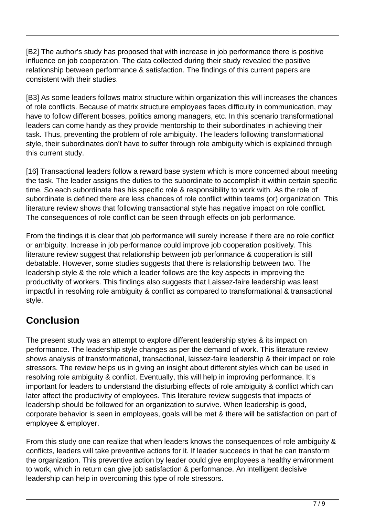[B2] The author's study has proposed that with increase in job performance there is positive influence on job cooperation. The data collected during their study revealed the positive relationship between performance & satisfaction. The findings of this current papers are consistent with their studies.

[B3] As some leaders follows matrix structure within organization this will increases the chances of role conflicts. Because of matrix structure employees faces difficulty in communication, may have to follow different bosses, politics among managers, etc. In this scenario transformational leaders can come handy as they provide mentorship to their subordinates in achieving their task. Thus, preventing the problem of role ambiguity. The leaders following transformational style, their subordinates don't have to suffer through role ambiguity which is explained through this current study.

[16] Transactional leaders follow a reward base system which is more concerned about meeting the task. The leader assigns the duties to the subordinate to accomplish it within certain specific time. So each subordinate has his specific role & responsibility to work with. As the role of subordinate is defined there are less chances of role conflict within teams (or) organization. This literature review shows that following transactional style has negative impact on role conflict. The consequences of role conflict can be seen through effects on job performance.

From the findings it is clear that job performance will surely increase if there are no role conflict or ambiguity. Increase in job performance could improve job cooperation positively. This literature review suggest that relationship between job performance & cooperation is still debatable. However, some studies suggests that there is relationship between two. The leadership style & the role which a leader follows are the key aspects in improving the productivity of workers. This findings also suggests that Laissez-faire leadership was least impactful in resolving role ambiguity & conflict as compared to transformational & transactional style.

# **Conclusion**

The present study was an attempt to explore different leadership styles & its impact on performance. The leadership style changes as per the demand of work. This literature review shows analysis of transformational, transactional, laissez-faire leadership & their impact on role stressors. The review helps us in giving an insight about different styles which can be used in resolving role ambiguity & conflict. Eventually, this will help in improving performance. It's important for leaders to understand the disturbing effects of role ambiguity & conflict which can later affect the productivity of employees. This literature review suggests that impacts of leadership should be followed for an organization to survive. When leadership is good, corporate behavior is seen in employees, goals will be met & there will be satisfaction on part of employee & employer.

From this study one can realize that when leaders knows the consequences of role ambiguity & conflicts, leaders will take preventive actions for it. If leader succeeds in that he can transform the organization. This preventive action by leader could give employees a healthy environment to work, which in return can give job satisfaction & performance. An intelligent decisive leadership can help in overcoming this type of role stressors.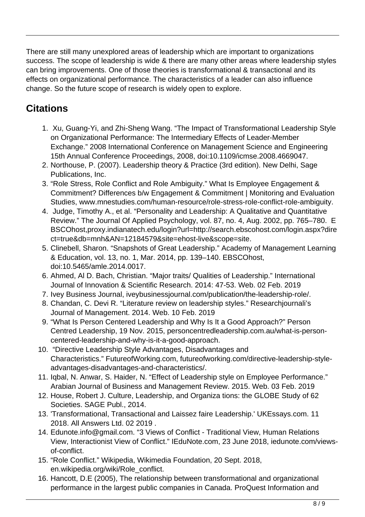There are still many unexplored areas of leadership which are important to organizations success. The scope of leadership is wide & there are many other areas where leadership styles can bring improvements. One of those theories is transformational & transactional and its effects on organizational performance. The characteristics of a leader can also influence change. So the future scope of research is widely open to explore.

## **Citations**

- 1. Xu, Guang-Yi, and Zhi-Sheng Wang. "The Impact of Transformational Leadership Style on Organizational Performance: The Intermediary Effects of Leader-Member Exchange." 2008 International Conference on Management Science and Engineering 15th Annual Conference Proceedings, 2008, doi:10.1109/icmse.2008.4669047.
- 2. Northouse, P. (2007). Leadership theory & Practice (3rd edition). New Delhi, Sage Publications, Inc.
- 3. "Role Stress, Role Conflict and Role Ambiguity." What Is Employee Engagement & Commitment? Differences b/w Engagement & Commitment | Monitoring and Evaluation Studies, www.mnestudies.com/human-resource/role-stress-role-conflict-role-ambiguity.
- 4. Judge, Timothy A., et al. "Personality and Leadership: A Qualitative and Quantitative Review." The Journal Of Applied Psychology, vol. 87, no. 4, Aug. 2002, pp. 765–780. E BSCOhost,proxy.indianatech.edu/login?url=http://search.ebscohost.com/login.aspx?dire ct=true&db=mnh&AN=12184579&site=ehost-live&scope=site.
- 5. Clinebell, Sharon. "Snapshots of Great Leadership." Academy of Management Learning & Education, vol. 13, no. 1, Mar. 2014, pp. 139–140. EBSCOhost, doi:10.5465/amle.2014.0017.
- 6. Ahmed, Al D. Bach, Christian. "Major traits/ Qualities of Leadership." International Journal of Innovation & Scientific Research. 2014: 47-53. Web. 02 Feb. 2019
- 7. Ivey Business Journal, iveybusinessjournal.com/publication/the-leadership-role/.
- 8. Chandan, C. Devi R. "Literature review on leadership styles." Researchjournali's Journal of Management. 2014. Web. 10 Feb. 2019
- 9. "What Is Person Centered Leadership and Why Is It a Good Approach?" Person Centred Leadership, 19 Nov. 2015, personcentredleadership.com.au/what-is-personcentered-leadership-and-why-is-it-a-good-approach.
- 10. "Directive Leadership Style Advantages, Disadvantages and Characteristics." FutureofWorking.com, futureofworking.com/directive-leadership-styleadvantages-disadvantages-and-characteristics/.
- 11. Iqbal, N. Anwar, S. Haider, N. "Effect of Leadership style on Employee Performance." Arabian Journal of Business and Management Review. 2015. Web. 03 Feb. 2019
- 12. House, Robert J. Culture, Leadership, and Organiza tions: the GLOBE Study of 62 Societies. SAGE Publ., 2014.
- 13. 'Transformational, Transactional and Laissez faire Leadership.' UKEssays.com. 11 2018. All Answers Ltd. 02 2019 .
- 14. Edunote.info@gmail.com. "3 Views of Conflict Traditional View, Human Relations View, Interactionist View of Conflict." IEduNote.com, 23 June 2018, iedunote.com/viewsof-conflict.
- 15. "Role Conflict." Wikipedia, Wikimedia Foundation, 20 Sept. 2018, en.wikipedia.org/wiki/Role\_conflict.
- 16. Hancott, D.E (2005), The relationship between transformational and organizational performance in the largest public companies in Canada. ProQuest Information and